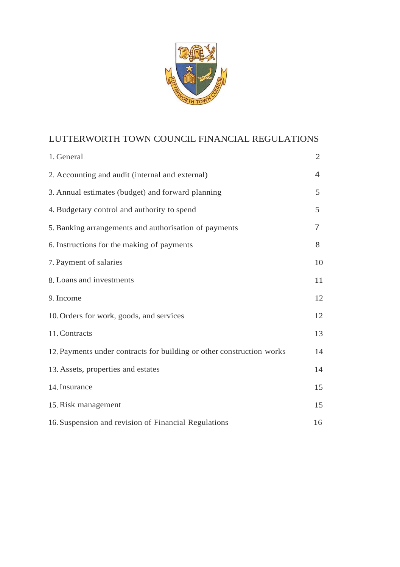

# LUTTERWORTH TOWN COUNCIL FINANCIAL REGULATIONS

| 1. General                                                            | $\overline{2}$ |
|-----------------------------------------------------------------------|----------------|
| 2. Accounting and audit (internal and external)                       | 4              |
| 3. Annual estimates (budget) and forward planning                     | 5              |
| 4. Budgetary control and authority to spend                           | 5              |
| 5. Banking arrangements and authorisation of payments                 | 7              |
| 6. Instructions for the making of payments                            | 8              |
| 7. Payment of salaries                                                | 10             |
| 8. Loans and investments                                              | 11             |
| 9. Income                                                             | 12             |
| 10. Orders for work, goods, and services                              | 12             |
| 11. Contracts                                                         | 13             |
| 12. Payments under contracts for building or other construction works | 14             |
| 13. Assets, properties and estates                                    | 14             |
| 14. Insurance                                                         | 15             |
| 15. Risk management                                                   | 15             |
| 16. Suspension and revision of Financial Regulations                  | 16             |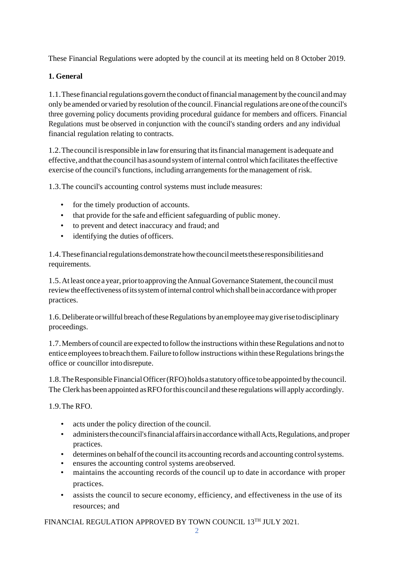These Financial Regulations were adopted by the council at its meeting held on 8 October 2019.

## <span id="page-1-0"></span>**1. General**

1.1. These financial regulations govern the conduct of financial management by the council and may only be amended orvaried by resolution ofthe council. Financial regulations areone ofthe council's three governing policy documents providing procedural guidance for members and officers. Financial Regulations must be observed in conjunction with the council's standing orders and any individual financial regulation relating to contracts.

1.2.Thecouncil isresponsible in lawfor ensuring that itsfinancialmanagement is adequate and effective, and that the council has a sound system of internal control which facilitates the effective exercise ofthe council's functions, including arrangements forthe management of risk.

1.3.The council's accounting control systems must include measures:

- for the timely production of accounts.
- that provide for the safe and efficient safeguarding of public money.
- to prevent and detect inaccuracy and fraud; and
- identifying the duties of officers.

1.4. These financial regulations demonstrate how the council meets these responsibilities and requirements.

1.5.Atleast once a year, priortoapproving theAnnualGovernance Statement, the councilmust reviewtheeffectiveness ofitssystemofinternal controlwhichshallbeinaccordance with proper practices.

1.6. Deliberate or willful breach of these Regulations by an employee may give rise to disciplinary proceedings.

1.7. Members of council are expected to follow the instructions within these Regulations and not to entice employees to breach them. Failure to follow instructions within these Regulations brings the office or councillor intodisrepute.

1.8.TheResponsible FinancialOfficer(RFO) holdsastatutory officetobeappointed bythecouncil. The Clerk has been appointed as RFO for this council and these regulations will apply accordingly.

1.9.The RFO.

- acts under the policy direction of the council.
- administers the council's financial affairs in accordance with all Acts, Regulations, and proper practices.
- determines on behalf of the council its accounting records and accounting control systems.
- ensures the accounting control systems are observed.
- maintains the accounting records of the council up to date in accordance with proper practices.
- assists the council to secure economy, efficiency, and effectiveness in the use of its resources; and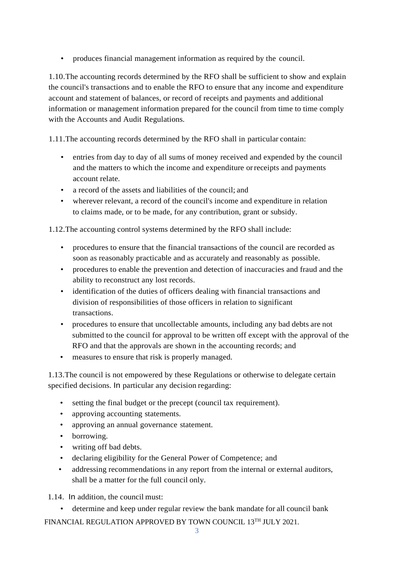• produces financial management information as required by the council.

1.10.The accounting records determined by the RFO shall be sufficient to show and explain the council's transactions and to enable the RFO to ensure that any income and expenditure account and statement of balances, or record of receipts and payments and additional information or management information prepared for the council from time to time comply with the Accounts and Audit Regulations.

1.11.The accounting records determined by the RFO shall in particular contain:

- entries from day to day of all sums of money received and expended by the council and the matters to which the income and expenditure orreceipts and payments account relate.
- a record of the assets and liabilities of the council; and
- wherever relevant, a record of the council's income and expenditure in relation to claims made, or to be made, for any contribution, grant or subsidy.

1.12.The accounting control systems determined by the RFO shall include:

- procedures to ensure that the financial transactions of the council are recorded as soon as reasonably practicable and as accurately and reasonably as possible.
- procedures to enable the prevention and detection of inaccuracies and fraud and the ability to reconstruct any lost records.
- identification of the duties of officers dealing with financial transactions and division of responsibilities of those officers in relation to significant transactions.
- procedures to ensure that uncollectable amounts, including any bad debts are not submitted to the council for approval to be written off except with the approval of the RFO and that the approvals are shown in the accounting records; and
- measures to ensure that risk is properly managed.

1.13.The council is not empowered by these Regulations or otherwise to delegate certain specified decisions. In particular any decision regarding:

- setting the final budget or the precept (council tax requirement).
- approving accounting statements.
- approving an annual governance statement.
- borrowing.
- writing off bad debts.
- declaring eligibility for the General Power of Competence; and
- addressing recommendations in any report from the internal or external auditors, shall be a matter for the full council only.

1.14. In addition, the council must:

• determine and keep under regular review the bank mandate for all council bank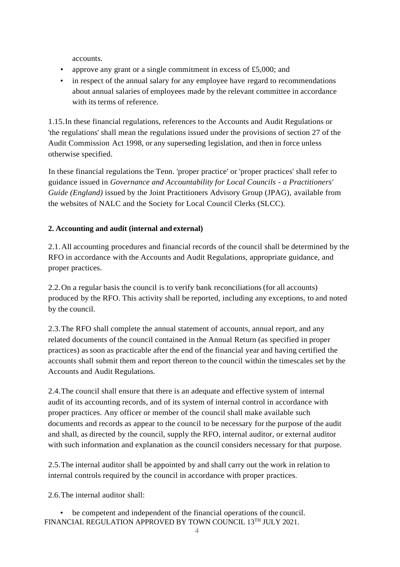accounts.

- approve any grant or a single commitment in excess of £5,000; and
- in respect of the annual salary for any employee have regard to recommendations about annual salaries of employees made by the relevant committee in accordance with its terms of reference.

1.15.In these financial regulations, references to the Accounts and Audit Regulations or 'the regulations' shall mean the regulations issued under the provisions of section 27 of the Audit Commission Act 1998, or any superseding legislation, and then in force unless otherwise specified.

In these financial regulations the Tenn. 'proper practice' or 'proper practices' shall refer to guidance issued in *Governance and Accountability for Local Councils* - *a Practitioners' Guide (England)* issued by the Joint Practitioners Advisory Group (JPAG), available from the websites of NALC and the Society for Local Council Clerks (SLCC).

## <span id="page-3-0"></span>**2. Accounting and audit (internal and external)**

2.1.All accounting procedures and financial records of the council shall be determined by the RFO in accordance with the Accounts and Audit Regulations, appropriate guidance, and proper practices.

2.2.On a regular basis the council is to verify bank reconciliations(for all accounts) produced by the RFO. This activity shall be reported, including any exceptions, to and noted by the council.

2.3.The RFO shall complete the annual statement of accounts, annual report, and any related documents of the council contained in the Annual Return (as specified in proper practices) as soon as practicable after the end of the financial year and having certified the accounts shall submit them and report thereon to the council within the timescales set by the Accounts and Audit Regulations.

2.4.The council shall ensure that there is an adequate and effective system of internal audit of its accounting records, and of its system of internal control in accordance with proper practices. Any officer or member of the council shall make available such documents and records as appear to the council to be necessary for the purpose of the audit and shall, as directed by the council, supply the RFO, internal auditor, or external auditor with such information and explanation as the council considers necessary for that purpose.

2.5.The internal auditor shall be appointed by and shall carry out the work in relation to internal controls required by the council in accordance with proper practices.

2.6.The internal auditor shall:

FINANCIAL REGULATION APPROVED BY TOWN COUNCIL 13TH JULY 2021. be competent and independent of the financial operations of the council.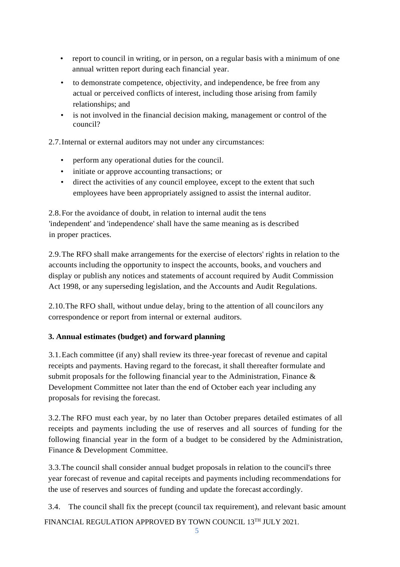- report to council in writing, or in person, on a regular basis with a minimum of one annual written report during each financial year.
- to demonstrate competence, objectivity, and independence, be free from any actual or perceived conflicts of interest, including those arising from family relationships; and
- is not involved in the financial decision making, management or control of the council?

2.7.Internal or external auditors may not under any circumstances:

- perform any operational duties for the council.
- initiate or approve accounting transactions; or
- direct the activities of any council employee, except to the extent that such employees have been appropriately assigned to assist the internal auditor.

2.8.For the avoidance of doubt, in relation to internal audit the tens 'independent' and 'independence' shall have the same meaning as is described in proper practices.

2.9.The RFO shall make arrangements for the exercise of electors' rights in relation to the accounts including the opportunity to inspect the accounts, books, and vouchers and display or publish any notices and statements of account required by Audit Commission Act 1998, or any superseding legislation, and the Accounts and Audit Regulations.

2.10.The RFO shall, without undue delay, bring to the attention of all councilors any correspondence or report from internal or external auditors.

#### <span id="page-4-0"></span>**3. Annual estimates (budget) and forward planning**

3.1.Each committee (if any) shall review its three-year forecast of revenue and capital receipts and payments. Having regard to the forecast, it shall thereafter formulate and submit proposals for the following financial year to the Administration, Finance & Development Committee not later than the end of October each year including any proposals for revising the forecast.

3.2.The RFO must each year, by no later than October prepares detailed estimates of all receipts and payments including the use of reserves and all sources of funding for the following financial year in the form of a budget to be considered by the Administration, Finance & Development Committee.

3.3.The council shall consider annual budget proposals in relation to the council's three year forecast of revenue and capital receipts and payments including recommendations for the use of reserves and sources of funding and update the forecast accordingly.

3.4. The council shall fix the precept (council tax requirement), and relevant basic amount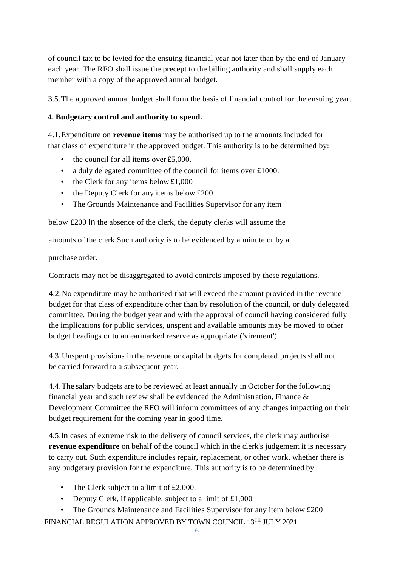of council tax to be levied for the ensuing financial year not later than by the end of January each year. The RFO shall issue the precept to the billing authority and shall supply each member with a copy of the approved annual budget.

3.5.The approved annual budget shall form the basis of financial control for the ensuing year.

## <span id="page-5-0"></span>**4. Budgetary control and authority to spend.**

4.1.Expenditure on **revenue items** may be authorised up to the amounts included for that class of expenditure in the approved budget. This authority is to be determined by:

- the council for all items over £5,000.
- a duly delegated committee of the council for items over £1000.
- the Clerk for any items below  $£1,000$
- the Deputy Clerk for any items below £200
- The Grounds Maintenance and Facilities Supervisor for any item

below £200 In the absence of the clerk, the deputy clerks will assume the

amounts of the clerk Such authority is to be evidenced by a minute or by a

purchase order.

Contracts may not be disaggregated to avoid controls imposed by these regulations.

4.2.No expenditure may be authorised that will exceed the amount provided in the revenue budget for that class of expenditure other than by resolution of the council, or duly delegated committee. During the budget year and with the approval of council having considered fully the implications for public services, unspent and available amounts may be moved to other budget headings or to an earmarked reserve as appropriate ('virement').

4.3.Unspent provisions in the revenue or capital budgets for completed projects shall not be carried forward to a subsequent year.

4.4.The salary budgets are to be reviewed at least annually in October for the following financial year and such review shall be evidenced the Administration, Finance & Development Committee the RFO will inform committees of any changes impacting on their budget requirement for the coming year in good time.

4.5.In cases of extreme risk to the delivery of council services, the clerk may authorise **revenue expenditure** on behalf of the council which in the clerk's judgement it is necessary to carry out. Such expenditure includes repair, replacement, or other work, whether there is any budgetary provision for the expenditure. This authority is to be determined by

- The Clerk subject to a limit of £2,000.
- Deputy Clerk, if applicable, subject to a limit of £1,000
- FINANCIAL REGULATION APPROVED BY TOWN COUNCIL 13TH JULY 2021. • The Grounds Maintenance and Facilities Supervisor for any item below £200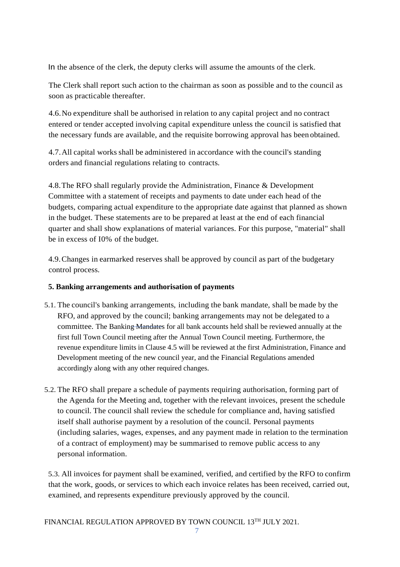In the absence of the clerk, the deputy clerks will assume the amounts of the clerk.

The Clerk shall report such action to the chairman as soon as possible and to the council as soon as practicable thereafter.

4.6.No expenditure shall be authorised in relation to any capital project and no contract entered or tender accepted involving capital expenditure unless the council is satisfied that the necessary funds are available, and the requisite borrowing approval has been obtained.

4.7.All capital works shall be administered in accordance with the council's standing orders and financial regulations relating to contracts.

4.8.The RFO shall regularly provide the Administration, Finance & Development Committee with a statement of receipts and payments to date under each head of the budgets, comparing actual expenditure to the appropriate date against that planned as shown in the budget. These statements are to be prepared at least at the end of each financial quarter and shall show explanations of material variances. For this purpose, "material" shall be in excess of I0% of the budget.

4.9.Changes in earmarked reserves shall be approved by council as part of the budgetary control process.

#### **5. Banking arrangements and authorisation of payments**

- 5.1. The council's banking arrangements, including the bank mandate, shall be made by the RFO, and approved by the council; banking arrangements may not be delegated to a committee. The Banking Mandates for all bank accounts held shall be reviewed annually at the first full Town Council meeting after the Annual Town Council meeting. Furthermore, the revenue expenditure limits in Clause 4.5 will be reviewed at the first Administration, Finance and Development meeting of the new council year, and the Financial Regulations amended accordingly along with any other required changes.
- 5.2. The RFO shall prepare a schedule of payments requiring authorisation, forming part of the Agenda for the Meeting and, together with the relevant invoices, present the schedule to council. The council shall review the schedule for compliance and, having satisfied itself shall authorise payment by a resolution of the council. Personal payments (including salaries, wages, expenses, and any payment made in relation to the termination of a contract of employment) may be summarised to remove public access to any personal information.

5.3. All invoices for payment shall be examined, verified, and certified by the RFO to confirm that the work, goods, or services to which each invoice relates has been received, carried out, examined, and represents expenditure previously approved by the council.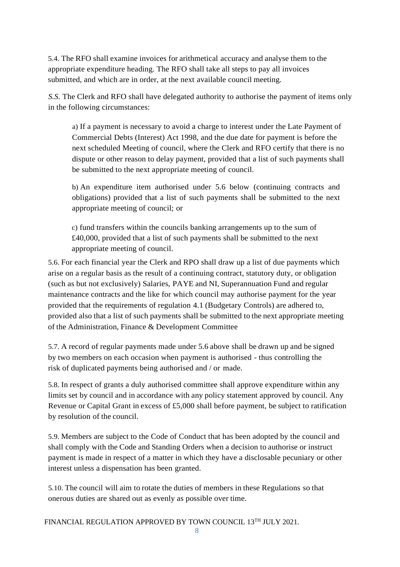5.4. The RFO shall examine invoices for arithmetical accuracy and analyse them to the appropriate expenditure heading. The RFO shall take all steps to pay all invoices submitted, and which are in order, at the next available council meeting.

*S.S.* The Clerk and RFO shall have delegated authority to authorise the payment of items only in the following circumstances:

a) If a payment is necessary to avoid a charge to interest under the Late Payment of Commercial Debts (Interest) Act 1998, and the due date for payment is before the next scheduled Meeting of council, where the Clerk and RFO certify that there is no dispute or other reason to delay payment, provided that a list of such payments shall be submitted to the next appropriate meeting of council.

b) An expenditure item authorised under 5.6 below (continuing contracts and obligations) provided that a list of such payments shall be submitted to the next appropriate meeting of council; or

c) fund transfers within the councils banking arrangements up to the sum of £40,000, provided that a list of such payments shall be submitted to the next appropriate meeting of council.

5.6. For each financial year the Clerk and RPO shall draw up a list of due payments which arise on a regular basis as the result of a continuing contract, statutory duty, or obligation (such as but not exclusively) Salaries, PAYE and NI, Superannuation Fund and regular maintenance contracts and the like for which council may authorise payment for the year provided that the requirements of regulation 4.1 (Budgetary Controls) are adhered to, provided also that a list of such payments shall be submitted to the next appropriate meeting of the Administration, Finance & Development Committee

5.7. A record of regular payments made under 5.6 above shall be drawn up and be signed by two members on each occasion when payment is authorised - thus controlling the risk of duplicated payments being authorised and / or made.

5.8. In respect of grants a duly authorised committee shall approve expenditure within any limits set by council and in accordance with any policy statement approved by council. Any Revenue or Capital Grant in excess of £5,000 shall before payment, be subject to ratification by resolution of the council.

5.9. Members are subject to the Code of Conduct that has been adopted by the council and shall comply with the Code and Standing Orders when a decision to authorise or instruct payment is made in respect of a matter in which they have a disclosable pecuniary or other interest unless a dispensation has been granted.

5.10. The council will aim to rotate the duties of members in these Regulations so that onerous duties are shared out as evenly as possible over time.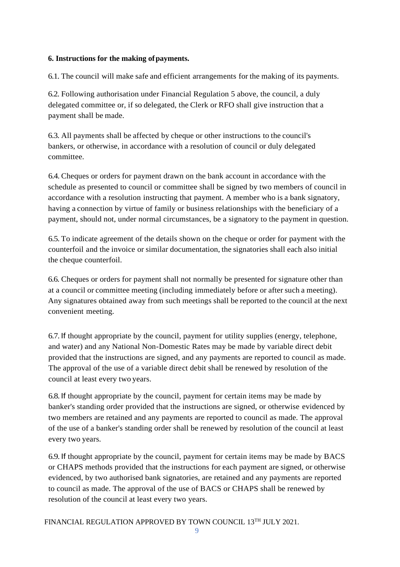#### <span id="page-8-0"></span>**6. Instructions for the making ofpayments.**

6.1. The council will make safe and efficient arrangements for the making of its payments.

6.2. Following authorisation under Financial Regulation 5 above, the council, a duly delegated committee or, if so delegated, the Clerk or RFO shall give instruction that a payment shall be made.

6.3. All payments shall be affected by cheque or other instructions to the council's bankers, or otherwise, in accordance with a resolution of council or duly delegated committee.

6.4. Cheques or orders for payment drawn on the bank account in accordance with the schedule as presented to council or committee shall be signed by two members of council in accordance with a resolution instructing that payment. A member who is a bank signatory, having a connection by virtue of family or business relationships with the beneficiary of a payment, should not, under normal circumstances, be a signatory to the payment in question.

6.5. To indicate agreement of the details shown on the cheque or order for payment with the counterfoil and the invoice or similar documentation, the signatories shall each also initial the cheque counterfoil.

6.6. Cheques or orders for payment shall not normally be presented for signature other than at a council or committee meeting (including immediately before or after such a meeting). Any signatures obtained away from such meetings shall be reported to the council at the next convenient meeting.

6.7. If thought appropriate by the council, payment for utility supplies (energy, telephone, and water) and any National Non-Domestic Rates may be made by variable direct debit provided that the instructions are signed, and any payments are reported to council as made. The approval of the use of a variable direct debit shall be renewed by resolution of the council at least every two years.

6.8. If thought appropriate by the council, payment for certain items may be made by banker's standing order provided that the instructions are signed, or otherwise evidenced by two members are retained and any payments are reported to council as made. The approval of the use of a banker's standing order shall be renewed by resolution of the council at least every two years.

6.9. If thought appropriate by the council, payment for certain items may be made by BACS or CHAPS methods provided that the instructions for each payment are signed, or otherwise evidenced, by two authorised bank signatories, are retained and any payments are reported to council as made. The approval of the use of BACS or CHAPS shall be renewed by resolution of the council at least every two years.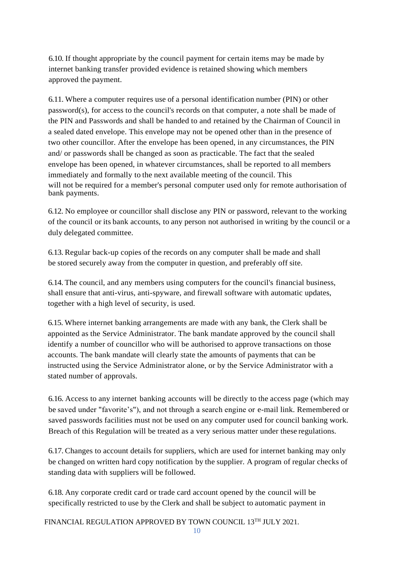6.10. If thought appropriate by the council payment for certain items may be made by internet banking transfer provided evidence is retained showing which members approved the payment.

6.11. Where a computer requires use of a personal identification number (PIN) or other password(s), for access to the council's records on that computer, a note shall be made of the PIN and Passwords and shall be handed to and retained by the Chairman of Council in a sealed dated envelope. This envelope may not be opened other than in the presence of two other councillor. After the envelope has been opened, in any circumstances, the PIN and/ or passwords shall be changed as soon as practicable. The fact that the sealed envelope has been opened, in whatever circumstances, shall be reported to all members immediately and formally to the next available meeting of the council. This will not be required for a member's personal computer used only for remote authorisation of bank payments.

6.12. No employee or councillor shall disclose any PIN or password, relevant to the working of the council or its bank accounts, to any person not authorised in writing by the council or a duly delegated committee.

6.13. Regular back-up copies of the records on any computer shall be made and shall be stored securely away from the computer in question, and preferably off site.

6.14. The council, and any members using computers for the council's financial business, shall ensure that anti-virus, anti-spyware, and firewall software with automatic updates, together with a high level of security, is used.

6.15. Where internet banking arrangements are made with any bank, the Clerk shall be appointed as the Service Administrator. The bank mandate approved by the council shall identify a number of councillor who will be authorised to approve transactions on those accounts. The bank mandate will clearly state the amounts of payments that can be instructed using the Service Administrator alone, or by the Service Administrator with a stated number of approvals.

6.16. Access to any internet banking accounts will be directly to the access page (which may be saved under "favorite's"), and not through a search engine or e-mail link. Remembered or saved passwords facilities must not be used on any computer used for council banking work. Breach of this Regulation will be treated as a very serious matter under these regulations.

6.17. Changes to account details for suppliers, which are used for internet banking may only be changed on written hard copy notification by the supplier. A program of regular checks of standing data with suppliers will be followed.

6.18. Any corporate credit card or trade card account opened by the council will be specifically restricted to use by the Clerk and shall be subject to automatic payment in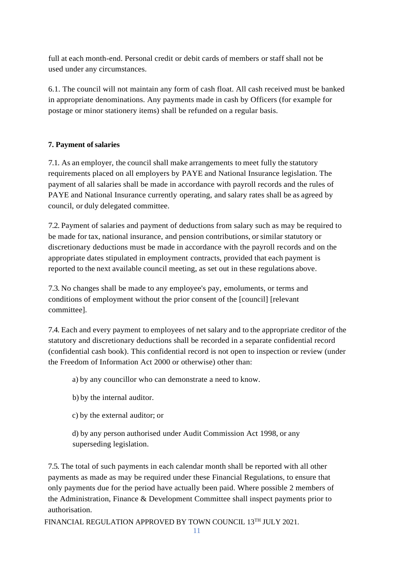full at each month-end. Personal credit or debit cards of members or staff shall not be used under any circumstances.

6.1. The council will not maintain any form of cash float. All cash received must be banked in appropriate denominations. Any payments made in cash by Officers (for example for postage or minor stationery items) shall be refunded on a regular basis.

#### <span id="page-10-0"></span>**7. Payment of salaries**

7.1. As an employer, the council shall make arrangements to meet fully the statutory requirements placed on all employers by PAYE and National Insurance legislation. The payment of all salaries shall be made in accordance with payroll records and the rules of PAYE and National Insurance currently operating, and salary rates shall be as agreed by council, or duly delegated committee.

7.2. Payment of salaries and payment of deductions from salary such as may be required to be made for tax, national insurance, and pension contributions, or similar statutory or discretionary deductions must be made in accordance with the payroll records and on the appropriate dates stipulated in employment contracts, provided that each payment is reported to the next available council meeting, as set out in these regulations above.

7.3. No changes shall be made to any employee's pay, emoluments, or terms and conditions of employment without the prior consent of the [council] [relevant committee].

7.4. Each and every payment to employees of net salary and to the appropriate creditor of the statutory and discretionary deductions shall be recorded in a separate confidential record (confidential cash book). This confidential record is not open to inspection or review (under the Freedom of Information Act 2000 or otherwise) other than:

a) by any councillor who can demonstrate a need to know.

- b) by the internal auditor.
- c) by the external auditor; or

d) by any person authorised under Audit Commission Act 1998, or any superseding legislation.

7.5. The total of such payments in each calendar month shall be reported with all other payments as made as may be required under these Financial Regulations, to ensure that only payments due for the period have actually been paid. Where possible 2 members of the Administration, Finance & Development Committee shall inspect payments prior to authorisation.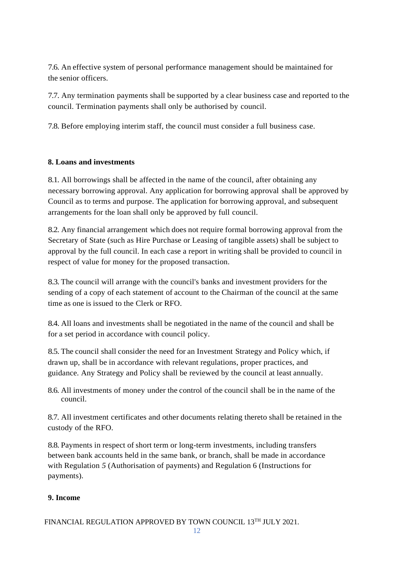7.6. An effective system of personal performance management should be maintained for the senior officers.

7.7. Any termination payments shall be supported by a clear business case and reported to the council. Termination payments shall only be authorised by council.

7.8. Before employing interim staff, the council must consider a full business case.

#### <span id="page-11-0"></span>**8. Loans and investments**

8.1. All borrowings shall be affected in the name of the council, after obtaining any necessary borrowing approval. Any application for borrowing approval shall be approved by Council as to terms and purpose. The application for borrowing approval, and subsequent arrangements for the loan shall only be approved by full council.

8.2. Any financial arrangement which does not require formal borrowing approval from the Secretary of State (such as Hire Purchase or Leasing of tangible assets) shall be subject to approval by the full council. In each case a report in writing shall be provided to council in respect of value for money for the proposed transaction.

8.3. The council will arrange with the council's banks and investment providers for the sending of a copy of each statement of account to the Chairman of the council at the same time as one is issued to the Clerk or RFO.

8.4. All loans and investments shall be negotiated in the name of the council and shall be for a set period in accordance with council policy.

8.5. The council shall consider the need for an Investment Strategy and Policy which, if drawn up, shall be in accordance with relevant regulations, proper practices, and guidance. Any Strategy and Policy shall be reviewed by the council at least annually.

8.6. All investments of money under the control of the council shall be in the name of the council.

8.7. All investment certificates and other documents relating thereto shall be retained in the custody of the RFO.

8.8. Payments in respect of short term or long-term investments, including transfers between bank accounts held in the same bank, or branch, shall be made in accordance with Regulation *5* (Authorisation of payments) and Regulation 6 (Instructions for payments).

#### **9. Income**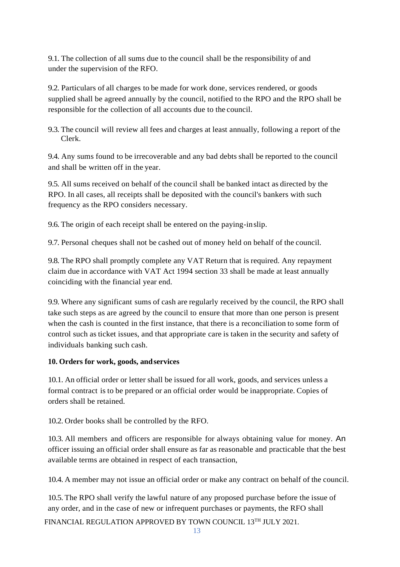9.1. The collection of all sums due to the council shall be the responsibility of and under the supervision of the RFO.

9.2. Particulars of all charges to be made for work done, services rendered, or goods supplied shall be agreed annually by the council, notified to the RPO and the RPO shall be responsible for the collection of all accounts due to the council.

9.3. The council will review all fees and charges at least annually, following a report of the Clerk.

9.4. Any sums found to be irrecoverable and any bad debts shall be reported to the council and shall be written off in the year.

9.5. All sums received on behalf of the council shall be banked intact as directed by the RPO. In all cases, all receipts shall be deposited with the council's bankers with such frequency as the RPO considers necessary.

9.6. The origin of each receipt shall be entered on the paying-inslip.

9.7. Personal cheques shall not be cashed out of money held on behalf of the council.

9.8. The RPO shall promptly complete any VAT Return that is required. Any repayment claim due in accordance with VAT Act 1994 section 33 shall be made at least annually coinciding with the financial year end.

9.9. Where any significant sums of cash are regularly received by the council, the RPO shall take such steps as are agreed by the council to ensure that more than one person is present when the cash is counted in the first instance, that there is a reconciliation to some form of control such as ticket issues, and that appropriate care is taken in the security and safety of individuals banking such cash.

#### <span id="page-12-0"></span>**10. Orders for work, goods, andservices**

10.1. An official order or letter shall be issued for all work, goods, and services unless a formal contract is to be prepared or an official order would be inappropriate. Copies of orders shall be retained.

10.2. Order books shall be controlled by the RFO.

10.3. All members and officers are responsible for always obtaining value for money. An officer issuing an official order shall ensure as far as reasonable and practicable that the best available terms are obtained in respect of each transaction,

10.4. A member may not issue an official order or make any contract on behalf of the council.

10.5. The RPO shall verify the lawful nature of any proposed purchase before the issue of any order, and in the case of new or infrequent purchases or payments, the RFO shall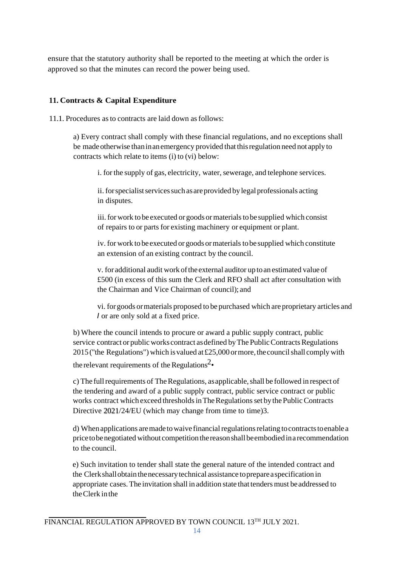ensure that the statutory authority shall be reported to the meeting at which the order is approved so that the minutes can record the power being used.

#### **11. Contracts & Capital Expenditure**

11.1. Procedures asto contracts are laid down asfollows:

a) Every contract shall comply with these financial regulations, and no exceptions shall be made otherwise than in an emergency provided that this regulation need not apply to contracts which relate to items (i) to (vi) below:

i. for the supply of gas, electricity, water, sewerage, and telephone services.

ii. for specialist services such as are provided by legal professionals acting in disputes.

iii. for work to be executed or goods or materials to be supplied which consist of repairs to or parts for existing machinery or equipment or plant.

iv. for work to be executed or goods or materials to be supplied which constitute an extension of an existing contract by the council.

v. for additional audit work of the external auditor up to an estimated value of £500 (in excess of this sum the Clerk and RFO shall act after consultation with the Chairman and Vice Chairman of council); and

vi. for goods ormaterials proposed to be purchased which are proprietary articles and *I* or are only sold at a fixed price.

b) Where the council intends to procure or award a public supply contract, public service contract or public works contract as defined by The Public Contracts Regulations 2015 ("the Regulations") which is valued at £25,000 or more, the council shall comply with the relevant requirements of the Regulations<sup>2</sup>•

c) The full requirements of The Regulations, as applicable, shall be followed in respect of the tendering and award of a public supply contract, public service contract or public works contract which exceed thresholds in The Regulations set by the Public Contracts Directive 2021/24/EU (which may change from time to time)3.

d) When applications are made to waive financial regulations relating to contracts to enable a pricetobenegotiated without competitionthereasonshallbeembodiedina recommendation to the council.

e) Such invitation to tender shall state the general nature of the intended contract and the Clerkshallobtainthenecessarytechnical assistance toprepareaspecification in appropriate cases. The invitation shall in addition state that tenders must be addressed to theClerk inthe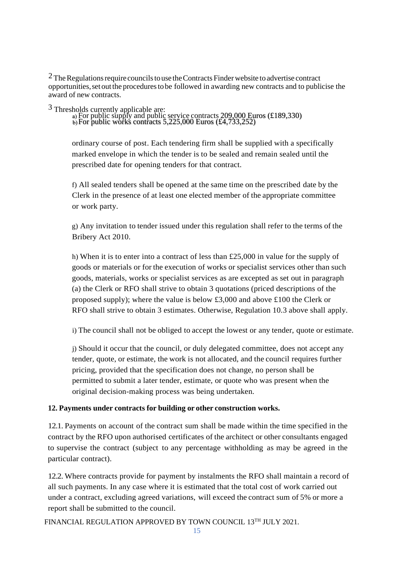$2$  The Regulations require councils to use the Contracts Finder website to advertise contract opportunities,set outthe proceduresto be followed in awarding new contracts and to publicise the award of new contracts.

<sup>3</sup> Thresholds currently applicable are:

For public supply and public service contracts 209,000 Euros (£189,330) For public works contracts 5,225,000 Euros (£4,733,252)

ordinary course of post. Each tendering firm shall be supplied with a specifically marked envelope in which the tender is to be sealed and remain sealed until the prescribed date for opening tenders for that contract.

f) All sealed tenders shall be opened at the same time on the prescribed date by the Clerk in the presence of at least one elected member of the appropriate committee or work party.

g) Any invitation to tender issued under this regulation shall refer to the terms of the Bribery Act 2010.

h) When it is to enter into a contract of less than £25,000 in value for the supply of goods or materials or for the execution of works or specialist services other than such goods, materials, works or specialist services as are excepted as set out in paragraph (a) the Clerk or RFO shall strive to obtain 3 quotations (priced descriptions of the proposed supply); where the value is below £3,000 and above £100 the Clerk or RFO shall strive to obtain 3 estimates. Otherwise, Regulation 10.3 above shall apply.

i) The council shall not be obliged to accept the lowest or any tender, quote or estimate.

j) Should it occur that the council, or duly delegated committee, does not accept any tender, quote, or estimate, the work is not allocated, and the council requires further pricing, provided that the specification does not change, no person shall be permitted to submit a later tender, estimate, or quote who was present when the original decision-making process was being undertaken.

#### <span id="page-14-0"></span>**12. Payments under contracts for building or other construction works.**

12.1. Payments on account of the contract sum shall be made within the time specified in the contract by the RFO upon authorised certificates of the architect or other consultants engaged to supervise the contract (subject to any percentage withholding as may be agreed in the particular contract).

12.2. Where contracts provide for payment by instalments the RFO shall maintain a record of all such payments. In any case where it is estimated that the total cost of work carried out under a contract, excluding agreed variations, will exceed the contract sum of 5% or more a report shall be submitted to the council.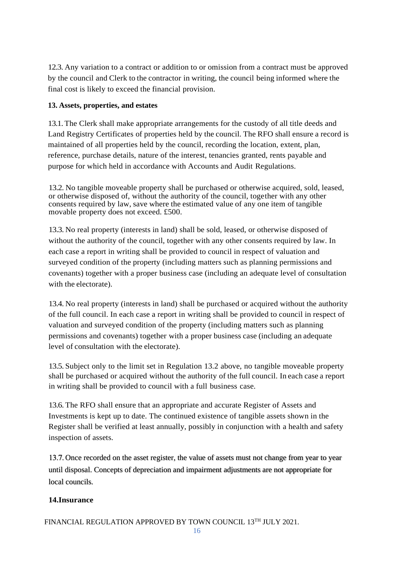12.3. Any variation to a contract or addition to or omission from a contract must be approved by the council and Clerk to the contractor in writing, the council being informed where the final cost is likely to exceed the financial provision.

#### <span id="page-15-0"></span>**13. Assets, properties, and estates**

13.1.The Clerk shall make appropriate arrangements for the custody of all title deeds and Land Registry Certificates of properties held by the council. The RFO shall ensure a record is maintained of all properties held by the council, recording the location, extent, plan, reference, purchase details, nature of the interest, tenancies granted, rents payable and purpose for which held in accordance with Accounts and Audit Regulations.

13.2. No tangible moveable property shall be purchased or otherwise acquired, sold, leased, or otherwise disposed of, without the authority of the council, together with any other consents required by law, save where the estimated value of any one item of tangible movable property does not exceed. £500.

13.3. No real property (interests in land) shall be sold, leased, or otherwise disposed of without the authority of the council, together with any other consents required by law. In each case a report in writing shall be provided to council in respect of valuation and surveyed condition of the property (including matters such as planning permissions and covenants) together with a proper business case (including an adequate level of consultation with the electorate).

13.4. No real property (interests in land) shall be purchased or acquired without the authority of the full council. In each case a report in writing shall be provided to council in respect of valuation and surveyed condition of the property (including matters such as planning permissions and covenants) together with a proper business case (including an adequate level of consultation with the electorate).

13.5. Subject only to the limit set in Regulation 13.2 above, no tangible moveable property shall be purchased or acquired without the authority of the full council. In each case a report in writing shall be provided to council with a full business case.

13.6. The RFO shall ensure that an appropriate and accurate Register of Assets and Investments is kept up to date. The continued existence of tangible assets shown in the Register shall be verified at least annually, possibly in conjunction with a health and safety inspection of assets.

13.7. Once recorded on the asset register, the value of assets must not change from year to year until disposal. Concepts of depreciation and impairment adjustments are not appropriate for local councils.

#### <span id="page-15-1"></span>**14.Insurance**